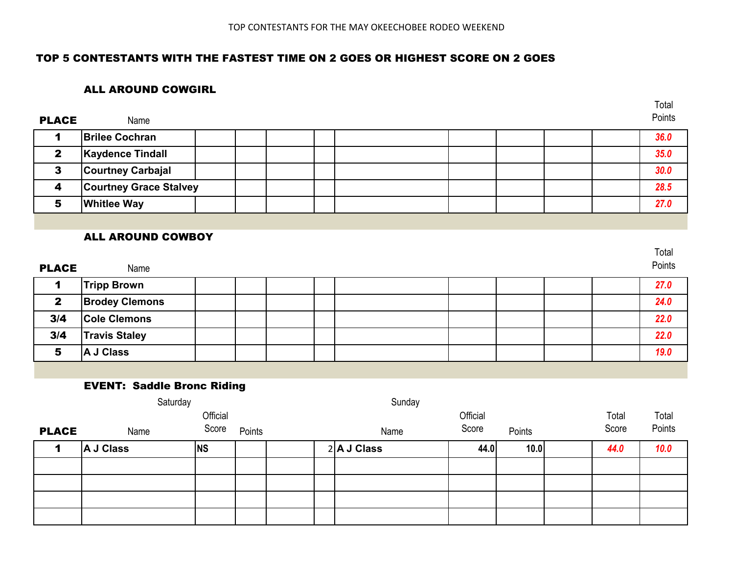## TOP 5 CONTESTANTS WITH THE FASTEST TIME ON 2 GOES OR HIGHEST SCORE ON 2 GOES

### ALL AROUND COWGIRL

| <b>PLACE</b> | Name                          |  |  |  |  | Points |
|--------------|-------------------------------|--|--|--|--|--------|
|              | <b>Brilee Cochran</b>         |  |  |  |  | 36.0   |
|              | <b>Kaydence Tindall</b>       |  |  |  |  | 35.0   |
|              | <b>Courtney Carbajal</b>      |  |  |  |  | 30.0   |
|              | <b>Courtney Grace Stalvey</b> |  |  |  |  | 28.5   |
|              | <b>Whitlee Way</b>            |  |  |  |  | 27.0   |

### ALL AROUND COWBOY

|              |                       |  |  |  |  | Total  |
|--------------|-----------------------|--|--|--|--|--------|
| <b>PLACE</b> | Name                  |  |  |  |  | Points |
|              | <b>Tripp Brown</b>    |  |  |  |  | 27.0   |
| $\mathbf{2}$ | <b>Brodey Clemons</b> |  |  |  |  | 24.0   |
| 3/4          | <b>Cole Clemons</b>   |  |  |  |  | 22.0   |
| 3/4          | <b>Travis Staley</b>  |  |  |  |  | 22.0   |
| 5            | A J Class             |  |  |  |  | 19.0   |

### EVENT: Saddle Bronc Riding

|              | Saturday  |           |        | Sunday |               |          |        |  |       |        |
|--------------|-----------|-----------|--------|--------|---------------|----------|--------|--|-------|--------|
|              |           | Official  |        |        |               | Official |        |  | Total | Total  |
| <b>PLACE</b> | Name      | Score     | Points |        | Name          | Score    | Points |  | Score | Points |
|              | A J Class | <b>NS</b> |        |        | $2$ A J Class | 44.0     | 10.0   |  | 44.0  | 10.0   |
|              |           |           |        |        |               |          |        |  |       |        |
|              |           |           |        |        |               |          |        |  |       |        |
|              |           |           |        |        |               |          |        |  |       |        |
|              |           |           |        |        |               |          |        |  |       |        |

Total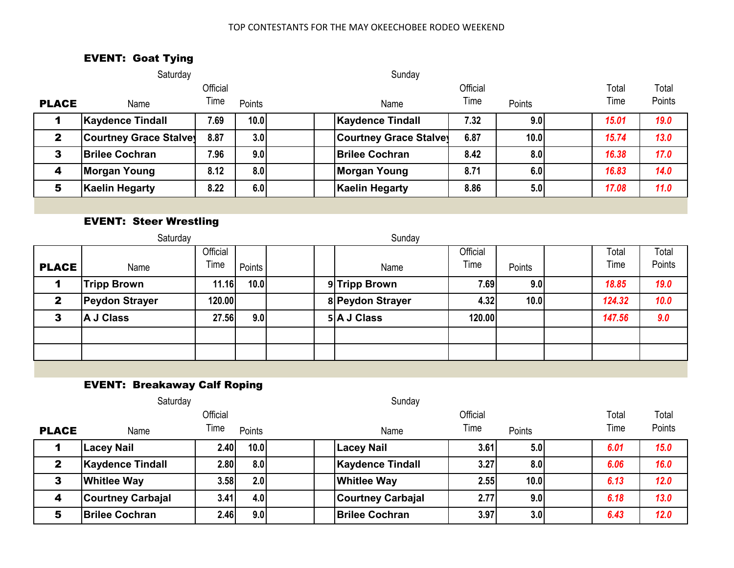#### TOP CONTESTANTS FOR THE MAY OKEECHOBEE RODEO WEEKEND

# EVENT: Goat Tying

|              | Saturday                      |          |        | Sunday                        |          |        |  |       |        |
|--------------|-------------------------------|----------|--------|-------------------------------|----------|--------|--|-------|--------|
|              |                               | Official |        |                               | Official |        |  | Total | Total  |
| <b>PLACE</b> | Name                          | Time     | Points | Name                          | Time     | Points |  | Time  | Points |
|              | <b>Kaydence Tindall</b>       | 7.69     | 10.0   | <b>Kaydence Tindall</b>       | 7.32     | 9.0    |  | 15.01 | 19.0   |
| $\mathbf{2}$ | <b>Courtney Grace Stalvey</b> | 8.87     | 3.0    | <b>Courtney Grace Stalvey</b> | 6.87     | 10.0   |  | 15.74 | 13.0   |
| 3            | <b>Brilee Cochran</b>         | 7.96     | 9.0    | <b>Brilee Cochran</b>         | 8.42     | 8.0    |  | 16.38 | 17.0   |
| 4            | <b>Morgan Young</b>           | 8.12     | 8.0    | Morgan Young                  | 8.71     | 6.0    |  | 16.83 | 14.0   |
| 5            | <b>Kaelin Hegarty</b>         | 8.22     | 6.0    | <b>Kaelin Hegarty</b>         | 8.86     | 5.0    |  | 17.08 | 11.0   |
|              |                               |          |        |                               |          |        |  |       |        |

# EVENT: Steer Wrestling

| Official<br>Official<br>Total<br>Total<br>Time<br>Time<br>Time<br><b>PLACE</b><br>Points<br>Points<br>Name<br>Name<br>19.0<br>10.0<br><b>Tripp Brown</b><br>11.16<br>9 Tripp Brown<br>7.69<br>9.0<br>18.85<br>4<br>10.0<br>8 Peydon Strayer<br>124.32<br><b>Peydon Strayer</b><br>120.00<br>10.0<br>4.32<br>$\mathbf{2}$ |   | Saturday  |       |     | Sunday      |        |  |        |        |
|--------------------------------------------------------------------------------------------------------------------------------------------------------------------------------------------------------------------------------------------------------------------------------------------------------------------------|---|-----------|-------|-----|-------------|--------|--|--------|--------|
|                                                                                                                                                                                                                                                                                                                          |   |           |       |     |             |        |  |        | Points |
|                                                                                                                                                                                                                                                                                                                          |   |           |       |     |             |        |  |        |        |
|                                                                                                                                                                                                                                                                                                                          |   |           |       |     |             |        |  |        |        |
|                                                                                                                                                                                                                                                                                                                          | 3 | A J Class | 27.56 | 9.0 | 5 A J Class | 120.00 |  | 147.56 | 9.0    |
|                                                                                                                                                                                                                                                                                                                          |   |           |       |     |             |        |  |        |        |
|                                                                                                                                                                                                                                                                                                                          |   |           |       |     |             |        |  |        |        |

# EVENT: Breakaway Calf Roping

|              | Saturday                 |          |                   | Sunday                   |          |                  |       |        |
|--------------|--------------------------|----------|-------------------|--------------------------|----------|------------------|-------|--------|
|              |                          | Official |                   |                          | Official |                  | Total | Total  |
| <b>PLACE</b> | Name                     | Time     | Points            | Name                     | Time     | Points           | Time  | Points |
|              | Lacey Nail               | 2.40     | 10.0 <sub>l</sub> | <b>Lacey Nail</b>        | 3.61     | 5.0 <sub>l</sub> | 6.01  | 15.0   |
| 2            | <b>Kaydence Tindall</b>  | 2.80     | 8.0               | <b>Kaydence Tindall</b>  | 3.27     | 8.0              | 6.06  | 16.0   |
| 3            | <b>Whitlee Way</b>       | 3.58     | 2.0               | <b>Whitlee Way</b>       | 2.55     | 10.0             | 6.13  | 12.0   |
| 4            | <b>Courtney Carbajal</b> | 3.41     | 4.0               | <b>Courtney Carbajal</b> | 2.77     | 9.0              | 6.18  | 13.0   |
| 5            | <b>Brilee Cochran</b>    | 2.46     | 9.0               | <b>Brilee Cochran</b>    | 3.97     | 3.0              | 6.43  | 12.0   |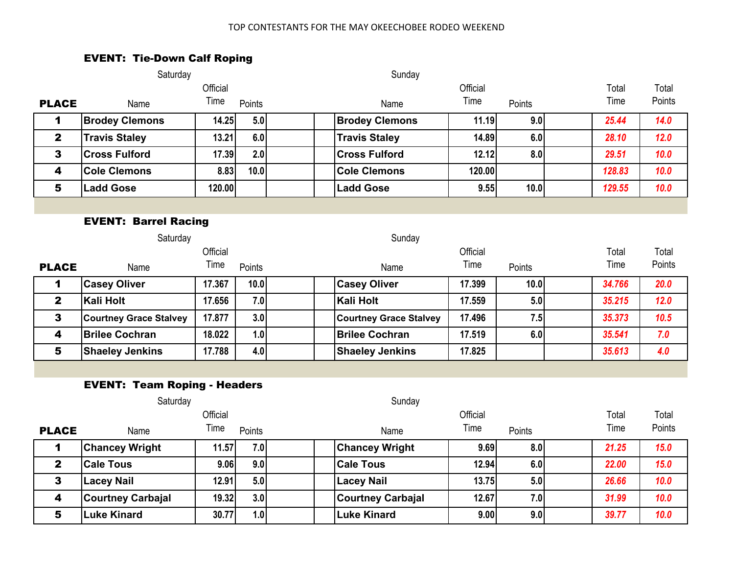#### TOP CONTESTANTS FOR THE MAY OKEECHOBEE RODEO WEEKEND

## EVENT: Tie-Down Calf Roping

|                             | Saturday                            |          |        | Sunday                        |          |        |  |        |        |  |  |  |
|-----------------------------|-------------------------------------|----------|--------|-------------------------------|----------|--------|--|--------|--------|--|--|--|
|                             |                                     | Official |        |                               | Official |        |  | Total  | Total  |  |  |  |
| <b>PLACE</b>                | Name                                | Time     | Points | Name                          | Time     | Points |  | Time   | Points |  |  |  |
| 1                           | <b>Brodey Clemons</b>               | 14.25    | 5.0    | <b>Brodey Clemons</b>         | 11.19    | 9.0    |  | 25.44  | 14.0   |  |  |  |
| $\mathbf{2}$                | <b>Travis Staley</b>                | 13.21    | 6.0    | <b>Travis Staley</b>          | 14.89    | 6.0    |  | 28.10  | 12.0   |  |  |  |
| 3                           | <b>Cross Fulford</b>                | 17.39    | 2.0    | <b>Cross Fulford</b>          | 12.12    | 8.0    |  | 29.51  | 10.0   |  |  |  |
| $\overline{\mathbf{4}}$     | <b>Cole Clemons</b>                 | 8.83     | 10.0   | <b>Cole Clemons</b>           | 120.00   |        |  | 128.83 | 10.0   |  |  |  |
| 5                           | <b>Ladd Gose</b>                    | 120.00   |        | <b>Ladd Gose</b>              | 9.55     | 10.0   |  | 129.55 | 10.0   |  |  |  |
|                             |                                     |          |        |                               |          |        |  |        |        |  |  |  |
| <b>EVENT: Barrel Racing</b> |                                     |          |        |                               |          |        |  |        |        |  |  |  |
|                             | Saturday                            |          |        | Sunday                        |          |        |  |        |        |  |  |  |
|                             |                                     | Official |        |                               | Official |        |  | Total  | Total  |  |  |  |
| <b>PLACE</b>                | Name                                | Time     | Points | Name                          | Time     | Points |  | Time   | Points |  |  |  |
| 1                           | <b>Casey Oliver</b>                 | 17.367   | 10.0   | <b>Casey Oliver</b>           | 17.399   | 10.0   |  | 34.766 | 20.0   |  |  |  |
| $\mathbf{2}$                | <b>Kali Holt</b>                    | 17.656   | 7.0    | <b>Kali Holt</b>              | 17.559   | 5.0    |  | 35.215 | 12.0   |  |  |  |
| $\mathbf{3}$                | <b>Courtney Grace Stalvey</b>       | 17.877   | 3.0    | <b>Courtney Grace Stalvey</b> | 17.496   | 7.5    |  | 35.373 | 10.5   |  |  |  |
| 4                           | <b>Brilee Cochran</b>               | 18.022   | 1.0    | <b>Brilee Cochran</b>         | 17.519   | 6.0    |  | 35.541 | 7.0    |  |  |  |
| 5                           | <b>Shaeley Jenkins</b>              | 17.788   | 4.0    | <b>Shaeley Jenkins</b>        | 17.825   |        |  | 35.613 | 4.0    |  |  |  |
|                             |                                     |          |        |                               |          |        |  |        |        |  |  |  |
|                             | <b>EVENT: Team Roping - Headers</b> |          |        |                               |          |        |  |        |        |  |  |  |
|                             | Saturday                            |          |        | Sunday                        |          |        |  |        |        |  |  |  |
|                             |                                     | Official |        |                               | Official |        |  | Total  | Total  |  |  |  |
| <b>PLACE</b>                | Name                                | Time     | Points | Name                          | Time     | Points |  | Time   | Points |  |  |  |
| 1                           | <b>Chancey Wright</b>               | 11.57    | 7.0    | <b>Chancey Wright</b>         | 9.69     | 8.0    |  | 21.25  | 15.0   |  |  |  |
| $\mathbf{2}$                | <b>Cale Tous</b>                    | 9.06     | 9.0    | <b>Cale Tous</b>              | 12.94    | 6.0    |  | 22.00  | 15.0   |  |  |  |
| $\mathbf{3}$                | <b>Lacey Nail</b>                   | 12.91    | 5.0    | Lacey Nail                    | 13.75    | 5.0    |  | 26.66  | 10.0   |  |  |  |
| 4                           | <b>Courtney Carbajal</b>            | 19.32    | 3.0    | <b>Courtney Carbajal</b>      | 12.67    | 7.0    |  | 31.99  | 10.0   |  |  |  |
| 5                           | <b>Luke Kinard</b>                  | 30.77    | 1.0    | <b>Luke Kinard</b>            | 9.00     | 9.0    |  | 39.77  | 10.0   |  |  |  |